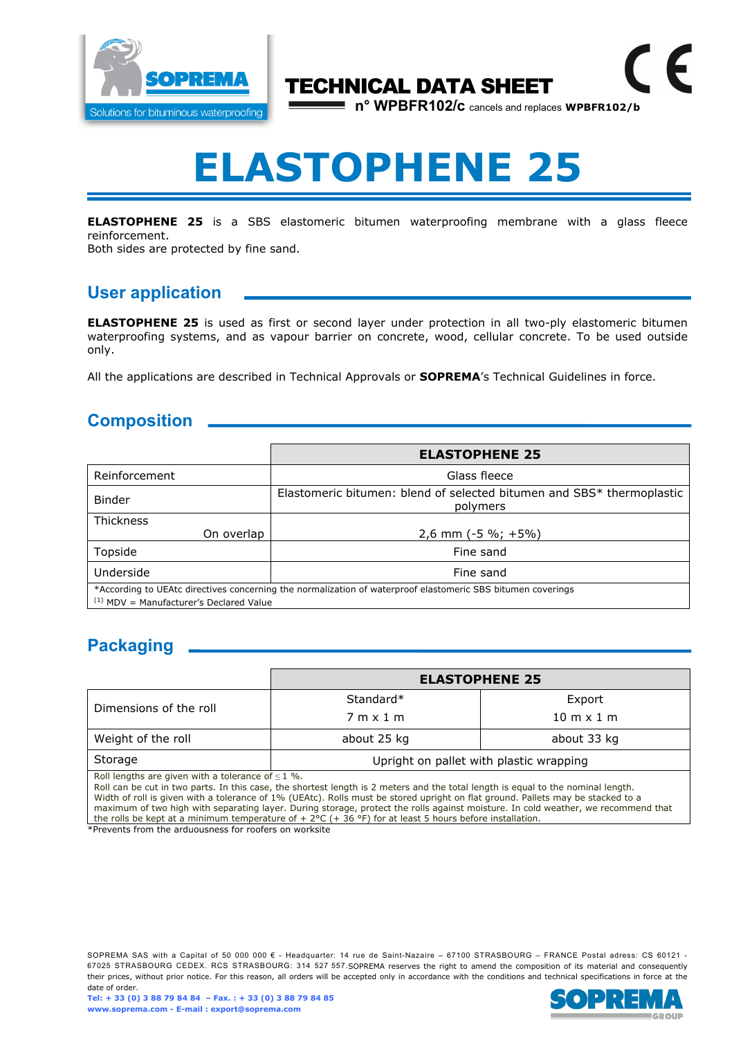

## TECHNICAL DATA SHEET

**n° WPBFR102/c** cancels and replaces **WPBFR102/b** 

E

## **ELASTOPHENE 25**

**ELASTOPHENE 25** is a SBS elastomeric bitumen waterproofing membrane with a glass fleece reinforcement.

Both sides are protected by fine sand.

## **User application**

**ELASTOPHENE 25** is used as first or second layer under protection in all two-ply elastomeric bitumen waterproofing systems, and as vapour barrier on concrete, wood, cellular concrete. To be used outside only.

All the applications are described in Technical Approvals or **SOPREMA**'s Technical Guidelines in force.

## **Composition**

|                                                                                                                                                          | <b>ELASTOPHENE 25</b>                                                             |  |
|----------------------------------------------------------------------------------------------------------------------------------------------------------|-----------------------------------------------------------------------------------|--|
| Reinforcement                                                                                                                                            | Glass fleece                                                                      |  |
| <b>Binder</b>                                                                                                                                            | Elastomeric bitumen: blend of selected bitumen and SBS* thermoplastic<br>polymers |  |
| Thickness                                                                                                                                                |                                                                                   |  |
| On overlap                                                                                                                                               | $2,6$ mm (-5 %; +5%)                                                              |  |
| Topside                                                                                                                                                  | Fine sand                                                                         |  |
| Underside                                                                                                                                                | Fine sand                                                                         |  |
| *According to UEAtc directives concerning the normalization of waterproof elastomeric SBS bitumen coverings<br>$(1)$ MDV = Manufacturer's Declared Value |                                                                                   |  |

## **Packaging**

|                                                        | <b>ELASTOPHENE 25</b>                   |                                   |  |
|--------------------------------------------------------|-----------------------------------------|-----------------------------------|--|
| Dimensions of the roll                                 | Standard*                               | Export                            |  |
|                                                        | $7m \times 1m$                          | $10 \text{ m} \times 1 \text{ m}$ |  |
| Weight of the roll                                     | about 25 kg                             | about 33 kg                       |  |
| Storage                                                | Upright on pallet with plastic wrapping |                                   |  |
| Roll lengths are given with a tolerance of $\leq 1$ %. |                                         |                                   |  |

Roll can be cut in two parts. In this case, the shortest length is 2 meters and the total length is equal to the nominal length. Width of roll is given with a tolerance of 1% (UEAtc). Rolls must be stored upright on flat ground. Pallets may be stacked to a maximum of two high with separating layer. During storage, protect the rolls against moisture. In cold weather, we recommend that the rolls be kept at a minimum temperature of  $+ 2$ °C ( $+ 36$ °F) for at least 5 hours before installation.

\*Prevents from the arduousness for roofers on worksite

SOPREMA SAS with a Capital of 50 000 000 € - Headquarter: 14 rue de Saint-Nazaire – 67100 STRASBOURG – FRANCE Postal adress: CS 60121 -67025 STRASBOURG CEDEX. RCS STRASBOURG: 314 527 557.SOPREMA reserves the right to amend the composition of its material and consequently their prices, without prior notice. For this reason, all orders will be accepted only in accordance with the conditions and technical specifications in force at the date of order.

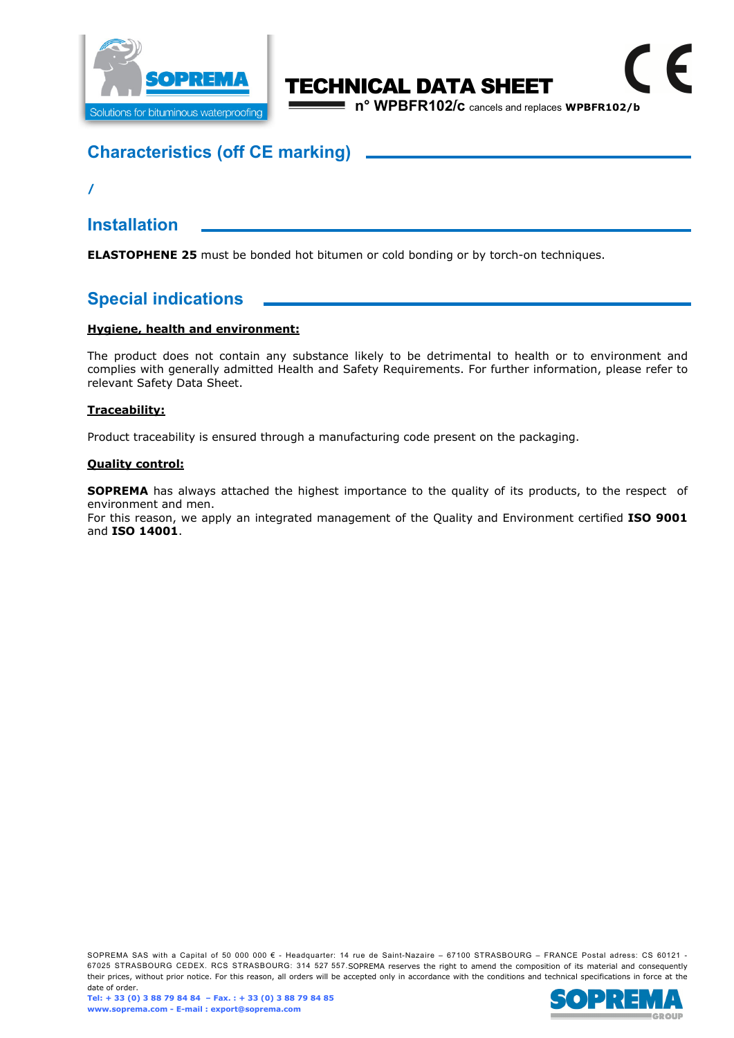

## TECHNICAL DATA SHEET **n° WPBFR102/c** cancels and replaces **WPBFR102/b Contract**

## **Characteristics (off CE marking)**

**/** 

**Installation** 

**ELASTOPHENE 25** must be bonded hot bitumen or cold bonding or by torch-on techniques.

## **Special indications**

#### **Hygiene, health and environment:**

The product does not contain any substance likely to be detrimental to health or to environment and complies with generally admitted Health and Safety Requirements. For further information, please refer to relevant Safety Data Sheet.

#### **Traceability:**

Product traceability is ensured through a manufacturing code present on the packaging.

#### **Quality control:**

**SOPREMA** has always attached the highest importance to the quality of its products, to the respect of environment and men.

For this reason, we apply an integrated management of the Quality and Environment certified **ISO 9001**  and **ISO 14001**.

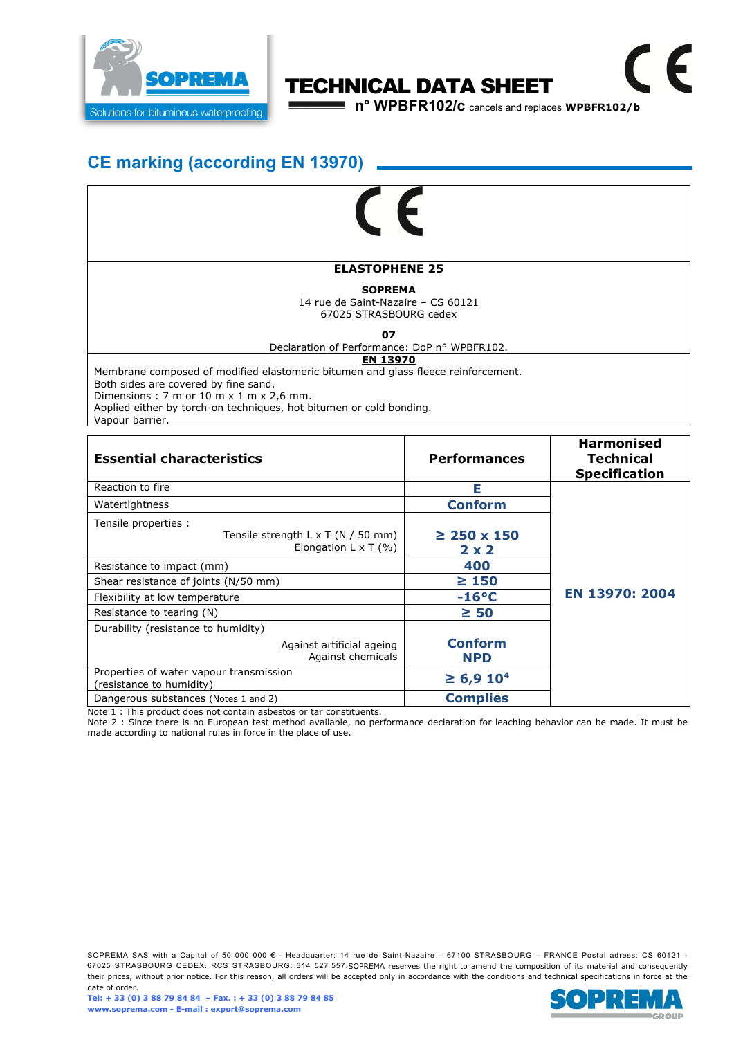

## TECHNICAL DATA SHEET

**n° WPBFR102/c** cancels and replaces **WPBFR102/b Contract** 

 $\epsilon$ 

## **CE marking (according EN 13970)**

# F

#### **ELASTOPHENE 25**

#### **SOPREMA**

14 rue de Saint-Nazaire – CS 60121 67025 STRASBOURG cedex

**07** 

#### Declaration of Performance: DoP n° WPBFR102.

#### **EN 13970**

Membrane composed of modified elastomeric bitumen and glass fleece reinforcement. Both sides are covered by fine sand.

Dimensions : 7 m or 10 m  $\times$  1 m  $\times$  2,6 mm.

Applied either by torch-on techniques, hot bitumen or cold bonding.

Vapour barrier.

| <b>Essential characteristics</b>                                                                 | <b>Performances</b>              | <b>Harmonised</b><br><b>Technical</b><br><b>Specification</b> |
|--------------------------------------------------------------------------------------------------|----------------------------------|---------------------------------------------------------------|
| Reaction to fire                                                                                 | Е                                |                                                               |
| Watertightness                                                                                   | <b>Conform</b>                   |                                                               |
| Tensile properties :<br>Tensile strength $L \times T$ (N / 50 mm)<br>Elongation L $\times$ T (%) | $\geq$ 250 x 150<br>$2 \times 2$ |                                                               |
| Resistance to impact (mm)                                                                        | 400                              | EN 13970: 2004                                                |
| Shear resistance of joints (N/50 mm)                                                             | $\geq 150$                       |                                                               |
| Flexibility at low temperature                                                                   | $-16^{\circ}C$                   |                                                               |
| Resistance to tearing (N)                                                                        | $\geq 50$                        |                                                               |
| Durability (resistance to humidity)                                                              |                                  |                                                               |
| Against artificial ageing<br>Against chemicals                                                   | <b>Conform</b><br><b>NPD</b>     |                                                               |
| Properties of water vapour transmission<br>(resistance to humidity)                              | $\geq 6.9 10^4$                  |                                                               |
| Dangerous substances (Notes 1 and 2)                                                             | <b>Complies</b>                  |                                                               |

Note 1 : This product does not contain asbestos or tar constituents.

Note 2 : Since there is no European test method available, no performance declaration for leaching behavior can be made. It must be made according to national rules in force in the place of use.

SOPREMA SAS with a Capital of 50 000 000 € - Headquarter: 14 rue de Saint-Nazaire – 67100 STRASBOURG – FRANCE Postal adress: CS 60121 -67025 STRASBOURG CEDEX. RCS STRASBOURG: 314 527 557.SOPREMA reserves the right to amend the composition of its material and consequently their prices, without prior notice. For this reason, all orders will be accepted only in accordance with the conditions and technical specifications in force at the date of order.